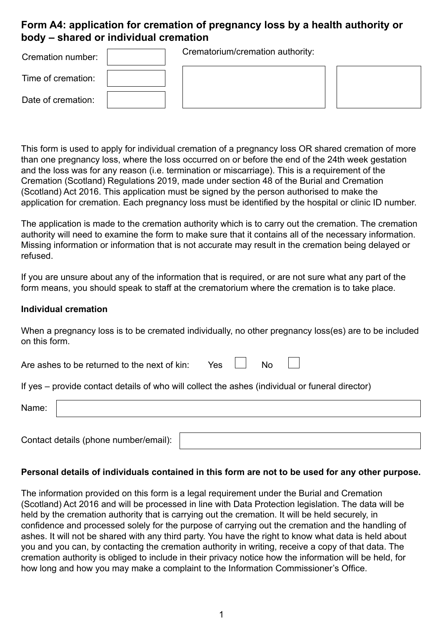## **Form A4: application for cremation of pregnancy loss by a health authority or body – shared or individual cremation**

| Cremation number:  | Crematorium/cremation authority: |  |
|--------------------|----------------------------------|--|
| Time of cremation: |                                  |  |
| Date of cremation: |                                  |  |

This form is used to apply for individual cremation of a pregnancy loss OR shared cremation of more than one pregnancy loss, where the loss occurred on or before the end of the 24th week gestation and the loss was for any reason (i.e. termination or miscarriage). This is a requirement of the Cremation (Scotland) Regulations 2019, made under section 48 of the Burial and Cremation (Scotland) Act 2016. This application must be signed by the person authorised to make the application for cremation. Each pregnancy loss must be identified by the hospital or clinic ID number.

The application is made to the cremation authority which is to carry out the cremation. The cremation authority will need to examine the form to make sure that it contains all of the necessary information. Missing information or information that is not accurate may result in the cremation being delayed or refused.

If you are unsure about any of the information that is required, or are not sure what any part of the form means, you should speak to staff at the crematorium where the cremation is to take place.

#### **Individual cremation**

When a pregnancy loss is to be cremated individually, no other pregnancy loss(es) are to be included on this form.

Are ashes to be returned to the next of kin: Yes  $\Box$  No

If yes – provide contact details of who will collect the ashes (individual or funeral director)

| Name: |                                       |  |
|-------|---------------------------------------|--|
|       |                                       |  |
|       | Contact details (phone number/email): |  |

### **Personal details of individuals contained in this form are not to be used for any other purpose.**

The information provided on this form is a legal requirement under the Burial and Cremation (Scotland) Act 2016 and will be processed in line with Data Protection legislation. The data will be held by the cremation authority that is carrying out the cremation. It will be held securely, in confidence and processed solely for the purpose of carrying out the cremation and the handling of ashes. It will not be shared with any third party. You have the right to know what data is held about you and you can, by contacting the cremation authority in writing, receive a copy of that data. The cremation authority is obliged to include in their privacy notice how the information will be held, for how long and how you may make a complaint to the Information Commissioner's Office.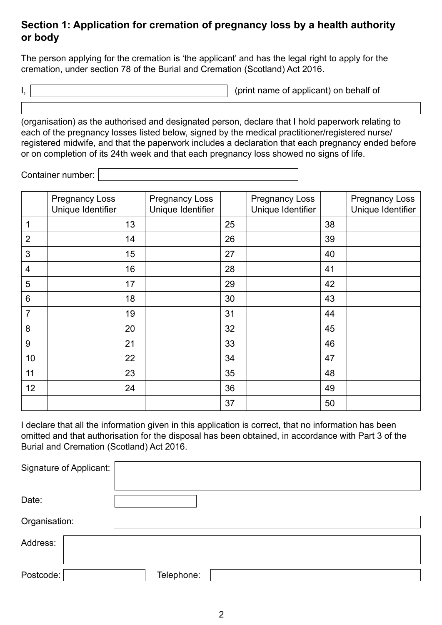## **Section 1: Application for cremation of pregnancy loss by a health authority or body**

The person applying for the cremation is 'the applicant' and has the legal right to apply for the cremation, under section 78 of the Burial and Cremation (Scotland) Act 2016.

I,  $\vert$ 

(organisation) as the authorised and designated person, declare that I hold paperwork relating to each of the pregnancy losses listed below, signed by the medical practitioner/registered nurse/ registered midwife, and that the paperwork includes a declaration that each pregnancy ended before or on completion of its 24th week and that each pregnancy loss showed no signs of life.

Container number:

|                         | <b>Pregnancy Loss</b><br>Unique Identifier |    | <b>Pregnancy Loss</b><br>Unique Identifier |    | <b>Pregnancy Loss</b><br>Unique Identifier |    | <b>Pregnancy Loss</b><br>Unique Identifier |
|-------------------------|--------------------------------------------|----|--------------------------------------------|----|--------------------------------------------|----|--------------------------------------------|
| 1                       |                                            | 13 |                                            | 25 |                                            | 38 |                                            |
| $\overline{2}$          |                                            | 14 |                                            | 26 |                                            | 39 |                                            |
| 3                       |                                            | 15 |                                            | 27 |                                            | 40 |                                            |
| $\overline{\mathbf{4}}$ |                                            | 16 |                                            | 28 |                                            | 41 |                                            |
| 5                       |                                            | 17 |                                            | 29 |                                            | 42 |                                            |
| $6\,$                   |                                            | 18 |                                            | 30 |                                            | 43 |                                            |
| $\overline{7}$          |                                            | 19 |                                            | 31 |                                            | 44 |                                            |
| 8                       |                                            | 20 |                                            | 32 |                                            | 45 |                                            |
| $9\,$                   |                                            | 21 |                                            | 33 |                                            | 46 |                                            |
| 10                      |                                            | 22 |                                            | 34 |                                            | 47 |                                            |
| 11                      |                                            | 23 |                                            | 35 |                                            | 48 |                                            |
| 12                      |                                            | 24 |                                            | 36 |                                            | 49 |                                            |
|                         |                                            |    |                                            | 37 |                                            | 50 |                                            |

I declare that all the information given in this application is correct, that no information has been omitted and that authorisation for the disposal has been obtained, in accordance with Part 3 of the Burial and Cremation (Scotland) Act 2016.

| Signature of Applicant: |            |
|-------------------------|------------|
| Date:                   |            |
| Organisation:           |            |
| Address:                |            |
| Postcode:               | Telephone: |